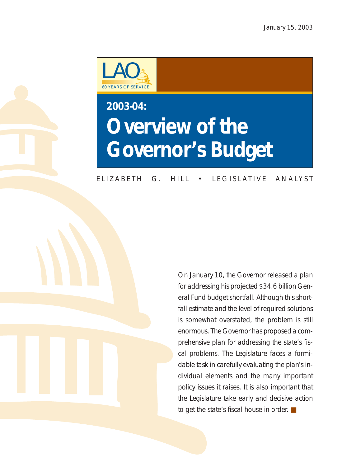

# **2003-04: Overview of the Governor's Budget**

ELIZABETH G. HILL • LEGISLATIVE ANALYST

On January 10, the Governor released a plan for addressing his projected \$34.6 billion General Fund budget shortfall. Although this shortfall estimate and the level of required solutions is somewhat overstated, the problem is still enormous. The Governor has proposed a comprehensive plan for addressing the state's fiscal problems. The Legislature faces a formidable task in carefully evaluating the plan's individual elements and the many important policy issues it raises. It is also important that the Legislature take early and decisive action to get the state's fiscal house in order. ■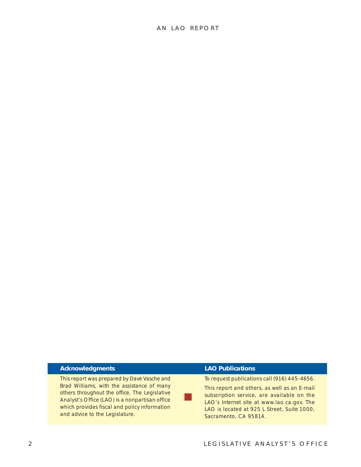### **Acknowledgments**

This report was prepared by Dave Vasche and Brad Williams, with the assistance of many others throughout the office. The Legislative Analyst's Office (LAO) is a nonpartisan office which provides fiscal and policy information and advice to the Legislature.

### **LAO Publications**

■

To request publications call (916) 445-4656.

This report and others, as well as an E-mail subscription service, are available on the LAO's Internet site at www.lao.ca.gov. The LAO is located at 925 L Street, Suite 1000, Sacramento, CA 95814.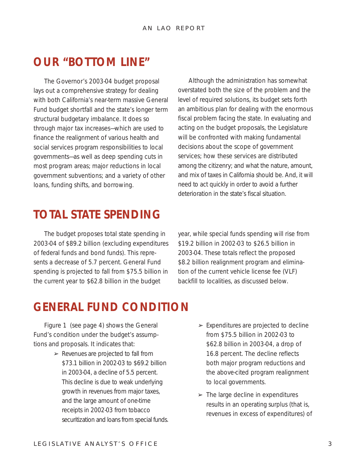### **OUR "BOTTOM LINE"**

The Governor's 2003-04 budget proposal lays out a comprehensive strategy for dealing with both California's near-term massive General Fund budget shortfall and the state's longer term structural budgetary imbalance. It does so through major tax increases—which are used to finance the realignment of various health and social services program responsibilities to local governments—as well as deep spending cuts in most program areas; major reductions in local government subventions; and a variety of other loans, funding shifts, and borrowing.

Although the administration has somewhat overstated both the size of the problem and the level of required solutions, its budget sets forth an ambitious plan for dealing with the enormous fiscal problem facing the state. In evaluating and acting on the budget proposals, the Legislature will be confronted with making fundamental decisions about the scope of government services; how these services are distributed among the citizenry; and what the nature, amount, and mix of taxes in California should be. And, it will need to act quickly in order to avoid a further deterioration in the state's fiscal situation.

### **TOTAL STATE SPENDING**

The budget proposes total state spending in 2003-04 of \$89.2 billion (excluding expenditures of federal funds and bond funds). This represents a decrease of 5.7 percent. General Fund spending is projected to fall from \$75.5 billion in the current year to \$62.8 billion in the budget

year, while special funds spending will rise from \$19.2 billion in 2002-03 to \$26.5 billion in 2003-04. These totals reflect the proposed \$8.2 billion realignment program and elimination of the current vehicle license fee (VLF) backfill to localities, as discussed below.

# **GENERAL FUND CONDITION**

Figure 1 (see page 4) shows the General Fund's condition under the budget's assumptions and proposals. It indicates that:

- ➢ *Revenues* are projected to fall from \$73.1 billion in 2002-03 to \$69.2 billion in 2003-04, a decline of 5.5 percent. This decline is due to weak underlying growth in revenues from major taxes, and the large amount of one-time receipts in 2002-03 from tobacco securitization and loans from special funds.
- ➢ *Expenditures* are projected to decline from \$75.5 billion in 2002-03 to \$62.8 billion in 2003-04, a drop of 16.8 percent. The decline reflects both major program reductions and the above-cited program realignment to local governments.
- $\triangleright$  The large decline in expenditures results in an *operating surplus* (that is, revenues in excess of expenditures) of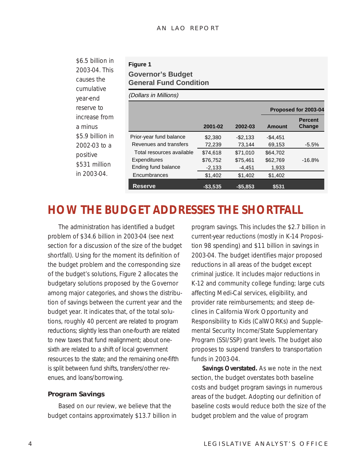| \$6.5 billion in<br>2003-04. This<br>causes the<br>cumulative | Figure 1<br><b>Governor's Budget</b><br><b>General Fund Condition</b> |             |             |               |                      |
|---------------------------------------------------------------|-----------------------------------------------------------------------|-------------|-------------|---------------|----------------------|
| year-end                                                      | (Dollars in Millions)                                                 |             |             |               |                      |
| reserve to                                                    |                                                                       |             |             |               | Proposed for 2003-04 |
| increase from                                                 |                                                                       |             |             |               | <b>Percent</b>       |
| a minus                                                       |                                                                       | 2001-02     | 2002-03     | <b>Amount</b> | <b>Change</b>        |
| \$5.9 billion in                                              | Prior-year fund balance                                               | \$2,380     | $-$ \$2,133 | $-$4,451$     |                      |
| 2002-03 to a                                                  | Revenues and transfers                                                | 72,239      | 73,144      | 69,153        | $-5.5%$              |
| positive                                                      | Total resources available                                             | \$74,618    | \$71,010    | \$64,702      |                      |
| \$531 million                                                 | Expenditures                                                          | \$76,752    | \$75,461    | \$62,769      | $-16.8%$             |
|                                                               | Ending fund balance                                                   | $-2,133$    | -4,451      | 1,933         |                      |
| in 2003-04.                                                   | Encumbrances                                                          | \$1,402     | \$1,402     | \$1,402       |                      |
|                                                               | <b>Reserve</b>                                                        | $-$ \$3,535 | $-$5,853$   | \$531         |                      |

# **HOW THE BUDGET ADDRESSES THE SHORTFALL**

The administration has identified a budget problem of \$34.6 billion in 2003-04 (see next section for a discussion of the size of the budget shortfall). Using for the moment its definition of the budget problem and the corresponding size of the budget's solutions, Figure 2 allocates the budgetary solutions proposed by the Governor among major categories, and shows the distribution of savings between the current year and the budget year. It indicates that, of the total solutions, roughly 40 percent are related to program reductions; slightly less than one-fourth are related to new taxes that fund realignment; about onesixth are related to a shift of local government resources to the state; and the remaining one-fifth is split between fund shifts, transfers/other revenues, and loans/borrowing.

#### **Program Savings**

Based on our review, we believe that the budget contains approximately \$13.7 billion in program savings. This includes the \$2.7 billion in current-year reductions (mostly in K-14 Proposition 98 spending) and \$11 billion in savings in 2003-04. The budget identifies major proposed reductions in all areas of the budget except criminal justice. It includes major reductions in K-12 and community college funding; large cuts affecting Medi-Cal services, eligibility, and provider rate reimbursements; and steep declines in California Work Opportunity and Responsibility to Kids (CalWORKs) and Supplemental Security Income/State Supplementary Program (SSI/SSP) grant levels. The budget also proposes to suspend transfers to transportation funds in 2003-04.

*Savings Overstated.* As we note in the next section, the budget overstates both baseline costs and budget program savings in numerous areas of the budget. Adopting our definition of baseline costs would reduce both the size of the budget problem and the value of program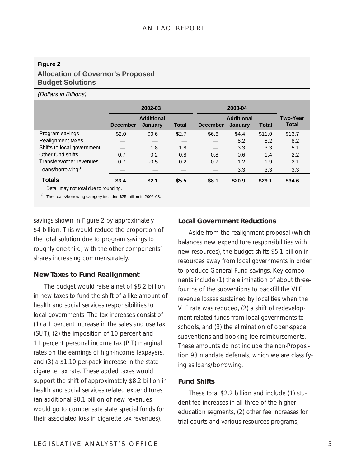### **Figure 2 Allocation of Governor's Proposed Budget Solutions**

(Dollars in Billions)

|                                       |                 | 2002-03                             |              |                 | 2003-04                             |              |                                 |
|---------------------------------------|-----------------|-------------------------------------|--------------|-----------------|-------------------------------------|--------------|---------------------------------|
|                                       | <b>December</b> | <b>Additional</b><br><b>January</b> | <b>Total</b> | <b>December</b> | <b>Additional</b><br><b>January</b> | <b>Total</b> | <b>Two-Year</b><br><b>Total</b> |
| Program savings                       | \$2.0           | \$0.6                               | \$2.7        | \$6.6           | \$4.4                               | \$11.0       | \$13.7                          |
| Realignment taxes                     |                 |                                     |              |                 | 8.2                                 | 8.2          | 8.2                             |
| Shifts to local government            |                 | 1.8                                 | 1.8          |                 | 3.3                                 | 3.3          | 5.1                             |
| Other fund shifts                     | 0.7             | 0.2                                 | 0.8          | 0.8             | 0.6                                 | 1.4          | 2.2                             |
| Transfers/other revenues              | 0.7             | $-0.5$                              | 0.2          | 0.7             | 1.2                                 | 1.9          | 2.1                             |
| Loans/borrowing <sup>a</sup>          |                 |                                     |              |                 | 3.3                                 | 3.3          | 3.3                             |
| <b>Totals</b>                         | \$3.4           | \$2.1                               | \$5.5        | \$8.1           | \$20.9                              | \$29.1       | \$34.6                          |
| Detail may not total due to rounding. |                 |                                     |              |                 |                                     |              |                                 |

a The Loans/borrowing category includes \$25 million in 2002-03.

savings shown in Figure 2 by approximately \$4 billion. This would reduce the proportion of the total solution due to program savings to roughly one-third, with the other components' shares increasing commensurately.

#### **New Taxes to Fund Realignment**

The budget would raise a net of \$8.2 billion in new taxes to fund the shift of a like amount of health and social services responsibilities to local governments. The tax increases consist of (1) a 1 percent increase in the sales and use tax (SUT), (2) the imposition of 10 percent and 11 percent personal income tax (PIT) marginal rates on the earnings of high-income taxpayers, and (3) a \$1.10 per-pack increase in the state cigarette tax rate. These added taxes would support the shift of approximately \$8.2 billion in health and social services related expenditures (an additional \$0.1 billion of new revenues would go to compensate state special funds for their associated loss in cigarette tax revenues).

### **Local Government Reductions**

Aside from the realignment proposal (which balances new expenditure responsibilities with new resources), the budget shifts \$5.1 billion in resources away from local governments in order to produce General Fund savings. Key components include (1) the elimination of about threefourths of the subventions to backfill the VLF revenue losses sustained by localities when the VLF rate was reduced, (2) a shift of redevelopment-related funds from local governments to schools, and (3) the elimination of open-space subventions and booking fee reimbursements. These amounts do not include the non-Proposition 98 mandate deferrals, which we are classifying as loans/borrowing.

#### **Fund Shifts**

These total \$2.2 billion and include (1) student fee increases in all three of the higher education segments, (2) other fee increases for trial courts and various resources programs,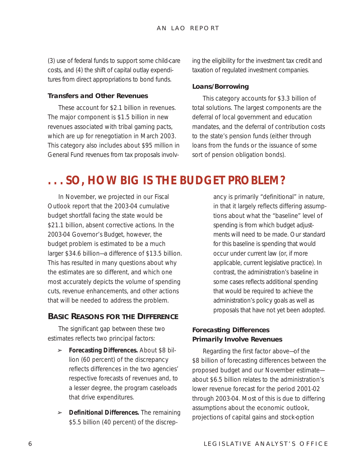(3) use of federal funds to support some child-care costs, and (4) the shift of capital outlay expenditures from direct appropriations to bond funds.

#### **Transfers and Other Revenues**

These account for \$2.1 billion in revenues. The major component is \$1.5 billion in new revenues associated with tribal gaming pacts, which are up for renegotiation in March 2003. This category also includes about \$95 million in General Fund revenues from tax proposals involving the eligibility for the investment tax credit and taxation of regulated investment companies.

### **Loans/Borrowing**

This category accounts for \$3.3 billion of total solutions. The largest components are the deferral of local government and education mandates, and the deferral of contribution costs to the state's pension funds (either through loans from the funds or the issuance of some sort of pension obligation bonds).

# **. . . SO, HOW BIG** *IS* **THE BUDGET PROBLEM?**

In November, we projected in our *Fiscal Outlook* report that the 2003-04 cumulative budget shortfall facing the state would be \$21.1 billion, absent corrective actions. In the *2003-04 Governor's Budget*, however, the budget problem is estimated to be a much larger \$34.6 billion—a difference of \$13.5 billion. This has resulted in many questions about why the estimates are so different, and which one most accurately depicts the volume of spending cuts, revenue enhancements, and other actions that will be needed to address the problem.

### **BASIC REASONS FOR THE DIFFERENCE**

The significant gap between these two estimates reflects two principal factors:

- ➢ *Forecasting Differences.* About \$8 billion (60 percent) of the discrepancy reflects differences in the two agencies' respective forecasts of revenues and, to a lesser degree, the program caseloads that drive expenditures.
- ➢ *Definitional Differences.* The remaining \$5.5 billion (40 percent) of the discrep-

ancy is primarily "definitional" in nature, in that it largely reflects differing assumptions about what the "baseline" level of spending is from which budget adjustments will need to be made. Our standard for this baseline is spending that would occur under current law (or, if more applicable, current legislative practice). In contrast, the administration's baseline in some cases reflects additional spending that would be required to achieve the administration's policy goals as well as proposals that have not yet been adopted.

### **Forecasting Differences Primarily Involve Revenues**

Regarding the first factor above—of the \$8 billion of forecasting differences between the proposed budget and our November estimate about \$6.5 billion relates to the administration's lower revenue forecast for the period 2001-02 through 2003-04. Most of this is due to differing assumptions about the economic outlook, projections of capital gains and stock-option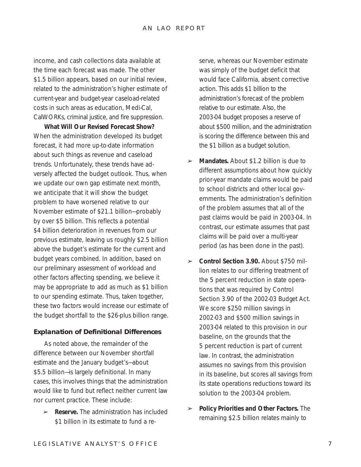income, and cash collections data available at the time each forecast was made. The other \$1.5 billion appears, based on our initial review, related to the administration's higher estimate of current-year and budget-year caseload-related costs in such areas as education, Medi-Cal, CalWORKs, criminal justice, and fire suppression.

*What Will Our Revised Forecast Show?* When the administration developed its budget forecast, it had more up-to-date information about such things as revenue and caseload trends. Unfortunately, these trends have adversely affected the budget outlook. Thus, when we update our own gap estimate next month, we anticipate that it will show the budget problem to have worsened relative to our November estimate of \$21.1 billion—probably by over \$5 billion. This reflects a potential \$4 billion deterioration in revenues from our previous estimate, leaving us roughly \$2.5 billion above the budget's estimate for the current and budget years combined. In addition, based on our preliminary assessment of workload and other factors affecting spending, we believe it may be appropriate to add as much as \$1 billion to our spending estimate. Thus, taken together, these two factors would increase our estimate of the budget shortfall to the \$26-plus billion range.

#### **Explanation of Definitional Differences**

As noted above, the remainder of the difference between our November shortfall estimate and the January budget's—about \$5.5 billion—is largely definitional. In many cases, this involves things that the administration would *like* to fund but reflect neither current law nor current practice. These include:

➢ *Reserve.* The administration has included \$1 billion in its estimate to fund a reserve, whereas our November estimate was simply of the budget deficit that would face California, absent corrective action. This adds \$1 billion to the administration's forecast of the problem relative to our estimate. Also, the 2003-04 budget proposes a reserve of about \$500 million, and the administration is scoring the difference between this and the \$1 billion as a budget solution.

- ➢ *Mandates.* About \$1.2 billion is due to different assumptions about how quickly prior-year mandate claims would be paid to school districts and other local governments. The administration's definition of the problem assumes that *all* of the past claims would be paid in 2003-04. In contrast, our estimate assumes that past claims will be paid over a multi-year period (as has been done in the past).
- ➢ *Control Section 3.90.* About \$750 million relates to our differing treatment of the 5 percent reduction in state operations that was required by Control Section 3.90 of the *2002-03 Budget Act.* We score \$250 million savings in 2002-03 and \$500 million savings in 2003-04 related to this provision in our baseline, on the grounds that the 5 percent reduction is part of current law. In contrast, the administration assumes no savings from this provision in its baseline, but scores all savings from its state operations reductions toward its solution to the 2003-04 problem.
- ➢ *Policy Priorities and Other Factors.* The remaining \$2.5 billion relates mainly to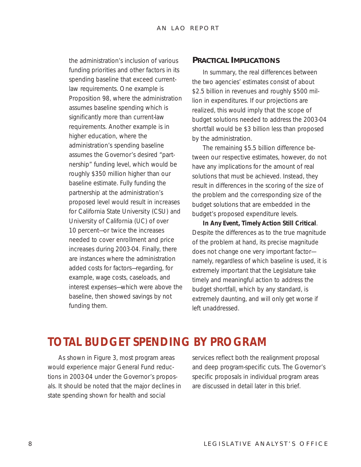the administration's inclusion of various funding priorities and other factors in its spending baseline that exceed currentlaw requirements. One example is Proposition 98, where the administration assumes baseline spending which is significantly more than current-law requirements. Another example is in higher education, where the administration's spending baseline assumes the Governor's desired "partnership" funding level, which would be roughly \$350 million higher than our baseline estimate. Fully funding the partnership at the administration's proposed level would result in increases for California State University (CSU) and University of California (UC) of over 10 percent—or twice the increases needed to cover enrollment and price increases during 2003-04. Finally, there are instances where the administration added costs for factors—regarding, for example, wage costs, caseloads, and interest expenses—which were above the baseline, then showed savings by not funding them.

### **PRACTICAL IMPLICATIONS**

In summary, the real differences between the two agencies' estimates consist of about \$2.5 billion in revenues and roughly \$500 million in expenditures. If our projections are realized, this would imply that the scope of budget solutions needed to address the 2003-04 shortfall would be \$3 billion less than proposed by the administration.

The remaining \$5.5 billion difference between our respective estimates, however, do not have any implications for the amount of real solutions that must be achieved. Instead, they result in differences in the scoring of the size of the problem and the corresponding size of the budget solutions that are embedded in the budget's proposed expenditure levels.

*In Any Event, Timely Action Still Critical*. Despite the differences as to the true magnitude of the problem at hand, its precise magnitude does not change one very important factor namely, regardless of which baseline is used, it is extremely important that the Legislature take timely and meaningful action to address the budget shortfall, which by any standard, is extremely daunting, and will only get worse if left unaddressed.

### **TOTAL BUDGET SPENDING BY PROGRAM**

As shown in Figure 3, most program areas would experience major General Fund reductions in 2003-04 under the Governor's proposals. It should be noted that the major declines in state spending shown for health and social

services reflect both the realignment proposal and deep program-specific cuts. The Governor's specific proposals in individual program areas are discussed in detail later in this brief.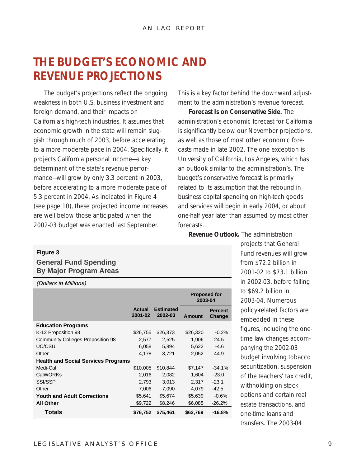# **THE BUDGET'S ECONOMIC AND REVENUE PROJECTIONS**

The budget's projections reflect the ongoing weakness in both U.S. business investment and foreign demand, and their impacts on California's high-tech industries. It assumes that economic growth in the state will remain sluggish through much of 2003, before accelerating to a more moderate pace in 2004. Specifically, it projects California personal income—a key determinant of the state's revenue performance—will grow by only 3.3 percent in 2003, before accelerating to a more moderate pace of 5.3 percent in 2004. As indicated in Figure 4 (see page 10), these projected income increases are well below those anticipated when the 2002-03 budget was enacted last September.

This is a key factor behind the downward adjustment to the administration's revenue forecast.

*Forecast Is on Conservative Side.* The administration's economic forecast for California is significantly below our November projections, as well as those of most other economic forecasts made in late 2002. The one exception is University of California, Los Angeles, which has an outlook similar to the administration's. The budget's conservative forecast is primarily related to its assumption that the rebound in business capital spending on high-tech goods and services will begin in early 2004, or about one-half year later than assumed by most other forecasts.

*Revenue Outlook.* The administration

#### **Figure 3**

**General Fund Spending By Major Program Areas** 

|                                            |                          |                             | <b>Proposed for</b><br>2003-04 |                          |
|--------------------------------------------|--------------------------|-----------------------------|--------------------------------|--------------------------|
|                                            | <b>Actual</b><br>2001-02 | <b>Estimated</b><br>2002-03 | Amount                         | <b>Percent</b><br>Change |
| <b>Education Programs</b>                  |                          |                             |                                |                          |
| K-12 Proposition 98                        | \$26,755                 | \$26,373                    | \$26,320                       | $-0.2%$                  |
| <b>Community Colleges Proposition 98</b>   | 2,577                    | 2,525                       | 1,906                          | $-24.5$                  |
| UC/CSU                                     | 6,058                    | 5,894                       | 5,622                          | $-4.6$                   |
| Other                                      | 4,178                    | 3,721                       | 2,052                          | $-44.9$                  |
| <b>Health and Social Services Programs</b> |                          |                             |                                |                          |
| Medi-Cal                                   | \$10,005                 | \$10,844                    | \$7,147                        | $-34.1%$                 |
| <b>CalWORKs</b>                            | 2,016                    | 2,082                       | 1,604                          | $-23.0$                  |
| SSI/SSP                                    | 2,793                    | 3,013                       | 2,317                          | $-23.1$                  |
| Other                                      | 7,006                    | 7,090                       | 4,079                          | $-42.5$                  |
| <b>Youth and Adult Corrections</b>         | \$5,641                  | \$5,674                     | \$5,639                        | $-0.6%$                  |
| <b>All Other</b>                           | \$9,722                  | \$8,246                     | \$6,085                        | $-26.2%$                 |
| Totals                                     | \$76,752                 | \$75,461                    | \$62,769                       | $-16.8%$                 |

projects that General Fund revenues will grow from \$72.2 billion in 2001-02 to \$73.1 billion in 2002-03, before falling to \$69.2 billion in 2003-04. Numerous policy-related factors are embedded in these figures, including the onetime law changes accompanying the 2002-03 budget involving tobacco securitization, suspension of the teachers' tax credit, withholding on stock options and certain real estate transactions, and one-time loans and transfers. The 2003-04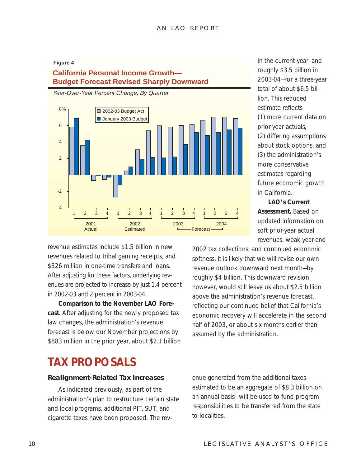### **California Personal Income Growth — Budget Forecast Revised Sharply Downward Figure 4**



in the current year, and roughly \$3.5 billion in 2003-04—for a three-year total of about \$6.5 billion. This reduced estimate reflects (1) more current data on prior-year actuals, (2) differing assumptions about stock options, and (3) the administration's more conservative estimates regarding future economic growth in California.

*LAO's Current Assessment.* Based on updated information on soft prior-year actual revenues, weak year-end

revenue estimates include \$1.5 billion in new revenues related to tribal gaming receipts, and \$326 million in one-time transfers and loans. After adjusting for these factors, underlying revenues are projected to increase by just 1.4 percent in 2002-03 and 2 percent in 2003-04.

*Comparison to the November LAO Forecast.* After adjusting for the newly proposed tax law changes, the administration's revenue forecast is below our November projections by \$883 million in the prior year, about \$2.1 billion

### 2002 tax collections, and continued economic softness, it is likely that we will revise our own revenue outlook downward next month—by roughly \$4 billion. This downward revision, however, would still leave us about \$2.5 billion above the administration's revenue forecast, reflecting our continued belief that California's economic recovery will accelerate in the second half of 2003, or about six months earlier than assumed by the administration.

### **TAX PROPOSALS**

#### **Realignment-Related Tax Increases**

As indicated previously, as part of the administration's plan to restructure certain state and local programs, additional PIT, SUT, and cigarette taxes have been proposed. The revenue generated from the additional taxes estimated to be an aggregate of \$8.3 billion on an annual basis—will be used to fund program responsibilities to be transferred from the state to localities.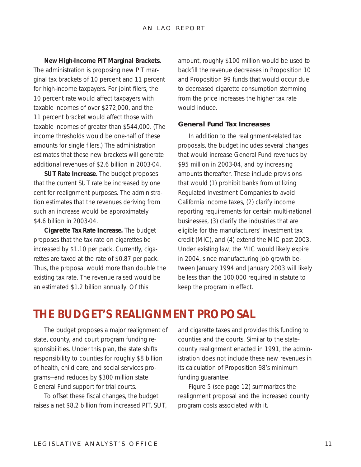*New High-Income PIT Marginal Brackets.* The administration is proposing new PIT marginal tax brackets of 10 percent and 11 percent for high-income taxpayers. For joint filers, the 10 percent rate would affect taxpayers with taxable incomes of over \$272,000, and the 11 percent bracket would affect those with taxable incomes of greater than \$544,000. (The income thresholds would be one-half of these amounts for single filers.) The administration estimates that these new brackets will generate additional revenues of \$2.6 billion in 2003-04.

*SUT Rate Increase.* The budget proposes that the current SUT rate be increased by one cent for realignment purposes. The administration estimates that the revenues deriving from such an increase would be approximately \$4.6 billion in 2003-04.

*Cigarette Tax Rate Increase.* The budget proposes that the tax rate on cigarettes be increased by \$1.10 per pack. Currently, cigarettes are taxed at the rate of \$0.87 per pack. Thus, the proposal would more than double the existing tax rate. The revenue raised would be an estimated \$1.2 billion annually. Of this

amount, roughly \$100 million would be used to backfill the revenue decreases in Proposition 10 and Proposition 99 funds that would occur due to decreased cigarette consumption stemming from the price increases the higher tax rate would induce.

### **General Fund Tax Increases**

In addition to the realignment-related tax proposals, the budget includes several changes that would increase General Fund revenues by \$95 million in 2003-04, and by increasing amounts thereafter. These include provisions that would (1) prohibit banks from utilizing Regulated Investment Companies to avoid California income taxes, (2) clarify income reporting requirements for certain multi-national businesses, (3) clarify the industries that are eligible for the manufacturers' investment tax credit (MIC), and (4) extend the MIC past 2003. Under existing law, the MIC would likely expire in 2004, since manufacturing job growth between January 1994 and January 2003 will likely be less than the 100,000 required in statute to keep the program in effect.

### **THE BUDGET'S REALIGNMENT PROPOSAL**

The budget proposes a major realignment of state, county, and court program funding responsibilities. Under this plan, the state shifts responsibility to counties for roughly \$8 billion of health, child care, and social services programs—and reduces by \$300 million state General Fund support for trial courts.

To offset these fiscal changes, the budget raises a net \$8.2 billion from increased PIT, SUT, and cigarette taxes and provides this funding to counties and the courts. Similar to the statecounty realignment enacted in 1991, the administration does not include these new revenues in its calculation of Proposition 98's minimum funding guarantee.

Figure 5 (see page 12) summarizes the realignment proposal and the increased county program costs associated with it.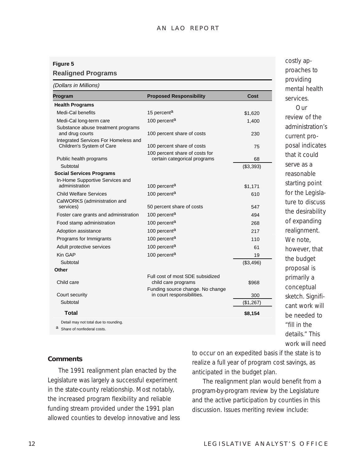### **Figure 5**

### **Realigned Programs**

| <b>Program</b>                                                     | <b>Proposed Responsibility</b>                                 | Cost      |
|--------------------------------------------------------------------|----------------------------------------------------------------|-----------|
| <b>Health Programs</b>                                             |                                                                |           |
| Medi-Cal benefits                                                  | 15 percent <sup>a</sup>                                        | \$1,620   |
| Medi-Cal long-term care                                            | 100 percenta                                                   | 1,400     |
| Substance abuse treatment programs<br>and drug courts              | 100 percent share of costs                                     | 230       |
| Integrated Services For Homeless and<br>Children's System of Care  | 100 percent share of costs                                     | 75        |
| Public health programs                                             | 100 percent share of costs for<br>certain categorical programs | 68        |
| Subtotal                                                           |                                                                | (\$3,393) |
| <b>Social Services Programs</b><br>In-Home Supportive Services and |                                                                |           |
| administration                                                     | 100 percent <sup>a</sup>                                       | \$1,171   |
| <b>Child Welfare Services</b>                                      | 100 percenta                                                   | 610       |
| CalWORKS (administration and<br>services)                          | 50 percent share of costs                                      | 547       |
| Foster care grants and administration                              | 100 percenta                                                   | 494       |
| Food stamp administration                                          | 100 percenta                                                   | 268       |
| Adoption assistance                                                | 100 percenta                                                   | 217       |
| Programs for Immigrants                                            | 100 percenta                                                   | 110       |
| Adult protective services                                          | 100 percenta                                                   | 61        |
| Kin GAP                                                            | 100 percenta                                                   | 19        |
| Subtotal                                                           |                                                                | (\$3,496) |
| Other                                                              |                                                                |           |
| Child care                                                         | Full cost of most SDE subsidized<br>child care programs        | \$968     |
| Court security                                                     | Funding source change. No change<br>in court responsibilities. | 300       |
| Subtotal                                                           |                                                                | (\$1,267) |
| Total                                                              |                                                                | \$8,154   |
| Detail may not total due to rounding.                              |                                                                |           |
| a Share of nonfederal costs.                                       |                                                                |           |

proaches to providing mental health services. Our review of the administration's current proposal indicates that it could serve as a reasonable starting point for the Legislature to discuss the desirability of expanding realignment. We note, however, that the budget proposal is primarily a conceptual sketch. Significant work will be needed to "fill in the details." This work will need

costly ap-

### **Comments**

The 1991 realignment plan enacted by the Legislature was largely a successful experiment in the state-county relationship. Most notably, the increased program flexibility and reliable funding stream provided under the 1991 plan allowed counties to develop innovative and less to occur on an expedited basis if the state is to realize a full year of program cost savings, as anticipated in the budget plan.

The realignment plan would benefit from a program-by-program review by the Legislature and the active participation by counties in this discussion. Issues meriting review include: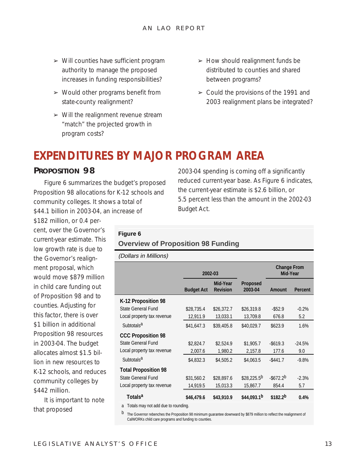- $\triangleright$  Will counties have sufficient program authority to manage the proposed increases in funding responsibilities?
- $\triangleright$  Would other programs benefit from state-county realignment?
- $>$  Will the realignment revenue stream "match" the projected growth in program costs?
- $\geq$  How should realignment funds be distributed to counties and shared between programs?
- $\geq$  Could the provisions of the 1991 and 2003 realignment plans be integrated?

# **EXPENDITURES BY MAJOR PROGRAM AREA**

### **PROPOSITION 98**

\$182 million, or 0.4 percent, over the Governor's

Figure 6 summarizes the budget's proposed Proposition 98 allocations for K-12 schools and community colleges. It shows a total of \$44.1 billion in 2003-04, an increase of

2003-04 spending is coming off a significantly reduced current-year base. As Figure 6 indicates, the current-year estimate is \$2.6 billion, or 5.5 percent less than the amount in the *2002-03 Budget Act*.

### **Figure 6**

(Dollars in Millions)

### **Overview of Proposition 98 Funding**

current-year estimate. This low growth rate is due to the Governor's realignment proposal, which would move \$879 million in child care funding out of Proposition 98 and to counties. Adjusting for this factor, there is over \$1 billion in additional Proposition 98 resources in 2003-04. The budget allocates almost \$1.5 billion in new resources to K-12 schools, and reduces community colleges by \$442 million.

It is important to note that proposed

|                                      | 2002-03           |                             |                            | <b>Change From</b><br>Mid-Year |                |
|--------------------------------------|-------------------|-----------------------------|----------------------------|--------------------------------|----------------|
|                                      | <b>Budget Act</b> | Mid-Year<br><b>Revision</b> | <b>Proposed</b><br>2003-04 | <b>Amount</b>                  | <b>Percent</b> |
| K-12 Proposition 98                  |                   |                             |                            |                                |                |
| State General Fund                   | \$28,735.4        | \$26,372.7                  | \$26,319.8                 | $-$52.9$                       | $-0.2%$        |
| Local property tax revenue           | 12,911.9          | 13,033.1                    | 13,709.8                   | 676.8                          | 5.2            |
| Subtotals <sup>a</sup>               | \$41,647.3        | \$39,405.8                  | \$40,029.7                 | \$623.9                        | 1.6%           |
| <b>CCC Proposition 98</b>            |                   |                             |                            |                                |                |
| State General Fund                   | \$2,824.7         | \$2,524.9                   | \$1,905.7                  | $-$619.3$                      | $-24.5%$       |
| Local property tax revenue           | 2,007.6           | 1,980.2                     | 2,157.8                    | 177.6                          | 9.0            |
| Subtotals <sup>a</sup>               | \$4,832.3         | \$4,505.2                   | \$4,063.5                  | $-$441.7$                      | $-9.8%$        |
| <b>Total Proposition 98</b>          |                   |                             |                            |                                |                |
| State General Fund                   | \$31,560.2        | \$28,897.6                  | \$28,225.5 <sup>b</sup>    | $-$ \$672.2 <sup>b</sup>       | $-2.3%$        |
| Local property tax revenue           | 14,919.5          | 15,013.3                    | 15,867.7                   | 854.4                          | 5.7            |
| Totals <sup>a</sup>                  | \$46,479.6        | \$43,910.9                  | \$44,093.1 <sup>b</sup>    | \$182.2 <sup>b</sup>           | 0.4%           |
| o Totalo mou not add duo to rounding |                   |                             |                            |                                |                |

a Totals may not add due to rounding.

The Governor rebenches the Proposition 98 minimum guarantee downward by \$879 million to reflect the realignment of CalWORKs child care programs and funding to counties.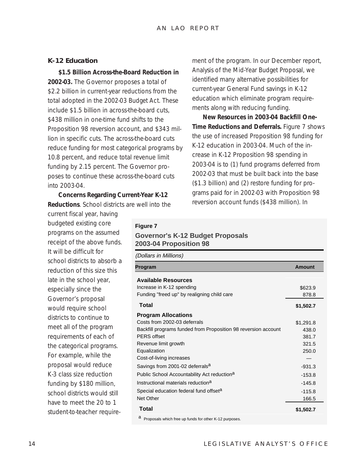### **K-12 Education**

*\$1.5 Billion Across-the-Board Reduction in 2002-03.* The Governor proposes a total of \$2.2 billion in current-year reductions from the total adopted in the *2002-03 Budget Act*. These include \$1.5 billion in across-the-board cuts, \$438 million in one-time fund shifts to the Proposition 98 reversion account, and \$343 million in specific cuts. The across-the-board cuts reduce funding for most categorical programs by 10.8 percent, and reduce total revenue limit funding by 2.15 percent. The Governor proposes to continue these across-the-board cuts into 2003-04.

*Concerns Regarding Current-Year K-12 Reductions*. School districts are well into the

current fiscal year, having budgeted existing core programs on the assumed receipt of the above funds. It will be difficult for school districts to absorb a reduction of this size this late in the school year, especially since the Governor's proposal would require school districts to continue to meet all of the program requirements of each of the categorical programs. For example, while the proposal would reduce K-3 class size reduction funding by \$180 million, school districts would still have to meet the 20 to 1 student-to-teacher require-

ment of the program. In our December report, *Analysis of the Mid-Year Budget Proposal*, we identified many alternative possibilities for current-year General Fund savings in K-12 education which eliminate program requirements along with reducing funding.

*New Resources in 2003-04 Backfill One-Time Reductions and Deferrals. Figure 7 shows* the use of increased Proposition 98 funding for K-12 education in 2003-04. Much of the increase in K-12 Proposition 98 spending in 2003-04 is to (1) fund programs deferred from 2002-03 that must be built back into the base (\$1.3 billion) and (2) restore funding for programs paid for in 2002-03 with Proposition 98 reversion account funds (\$438 million). In

### **Figure 7 Governor's K-12 Budget Proposals 2003-04 Proposition 98**

| (Dollars in Millions)                                          |               |
|----------------------------------------------------------------|---------------|
| Program                                                        | <b>Amount</b> |
| <b>Available Resources</b>                                     |               |
| Increase in K-12 spending                                      | \$623.9       |
| Funding "freed up" by realigning child care                    | 878.8         |
| Total                                                          | \$1,502.7     |
| <b>Program Allocations</b>                                     |               |
| Costs from 2002-03 deferrals                                   | \$1,291.8     |
| Backfill programs funded from Proposition 98 reversion account | 438.0         |
| <b>PERS offset</b>                                             | 381.7         |
| Revenue limit growth                                           | 321.5         |
| Equalization                                                   | 250.0         |
| Cost-of-living increases                                       |               |
| Savings from 2001-02 deferrals <sup>a</sup>                    | $-931.3$      |
| Public School Accountability Act reduction <sup>a</sup>        | $-153.8$      |
| Instructional materials reduction <sup>a</sup>                 | $-145.8$      |
| Special education federal fund offseta                         | $-115.8$      |
| <b>Net Other</b>                                               | 166.5         |
| Total                                                          | \$1,502.7     |
| a<br>Proposals which free up funds for other K-12 purposes.    |               |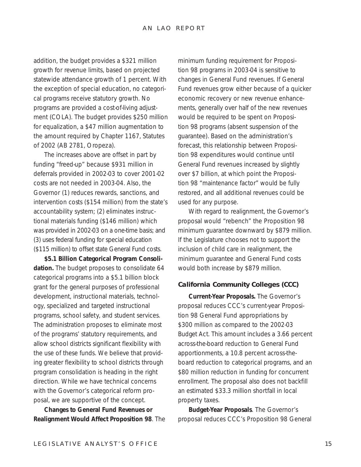addition, the budget provides a \$321 million growth for revenue limits, based on projected statewide attendance growth of 1 percent. With the exception of special education, no categorical programs receive statutory growth. No programs are provided a cost-of-living adjustment (COLA). The budget provides \$250 million for equalization, a \$47 million augmentation to the amount required by Chapter 1167, Statutes of 2002 (AB 2781, Oropeza).

The increases above are offset in part by funding "freed-up" because \$931 million in deferrals provided in 2002-03 to cover 2001-02 costs are not needed in 2003-04. Also, the Governor (1) reduces rewards, sanctions, and intervention costs (\$154 million) from the state's accountability system; (2) eliminates instructional materials funding (\$146 million) which was provided in 2002-03 on a one-time basis; and (3) uses federal funding for special education (\$115 million) to offset state General Fund costs.

*\$5.1 Billion Categorical Program Consolidation.* The budget proposes to consolidate 64 categorical programs into a \$5.1 billion block grant for the general purposes of professional development, instructional materials, technology, specialized and targeted instructional programs, school safety, and student services. The administration proposes to eliminate most of the programs' statutory requirements, and allow school districts significant flexibility with the use of these funds. We believe that providing greater flexibility to school districts through program consolidation is heading in the right direction. While we have technical concerns with the Governor's categorical reform proposal, we are supportive of the concept.

*Changes to General Fund Revenues or Realignment Would Affect Proposition 98*. The minimum funding requirement for Proposition 98 programs in 2003-04 is sensitive to changes in General Fund revenues. If General Fund revenues grow either because of a quicker economic recovery or new revenue enhancements, generally over half of the new revenues would be required to be spent on Proposition 98 programs (absent suspension of the guarantee). Based on the administration's forecast, this relationship between Proposition 98 expenditures would continue until General Fund revenues increased by slightly over \$7 billion, at which point the Proposition 98 "maintenance factor" would be fully restored, and all additional revenues could be used for any purpose.

With regard to realignment, the Governor's proposal would "rebench" the Proposition 98 minimum guarantee downward by \$879 million. If the Legislature chooses not to support the inclusion of child care in realignment, the minimum guarantee and General Fund costs would both increase by \$879 million.

#### **California Community Colleges (CCC)**

*Current-Year Proposals.* The Governor's proposal reduces CCC's current-year Proposition 98 General Fund appropriations by \$300 million as compared to the *2002-03 Budget Act*. This amount includes a 3.66 percent across-the-board reduction to General Fund apportionments, a 10.8 percent across-theboard reduction to categorical programs, and an \$80 million reduction in funding for concurrent enrollment. The proposal also does not backfill an estimated \$33.3 million shortfall in local property taxes.

*Budget-Year Proposals*. The Governor's proposal reduces CCC's Proposition 98 General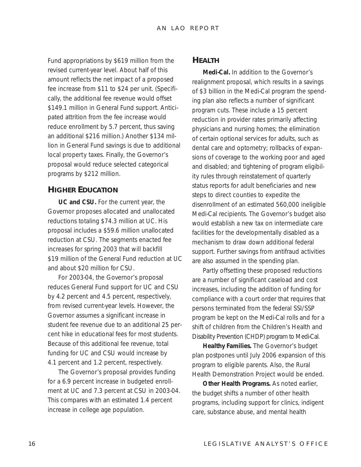Fund appropriations by \$619 million from the revised current-year level. About half of this amount reflects the net impact of a proposed fee increase from \$11 to \$24 per unit. (Specifically, the additional fee revenue would offset \$149.1 million in General Fund support. Anticipated attrition from the fee increase would reduce enrollment by 5.7 percent, thus saving an additional \$216 million.) Another \$134 million in General Fund savings is due to additional local property taxes. Finally, the Governor's proposal would reduce selected categorical programs by \$212 million.

### **HIGHER EDUCATION**

*UC and CSU.* For the current year, the Governor proposes allocated and unallocated reductions totaling \$74.3 million at UC. His proposal includes a \$59.6 million unallocated reduction at CSU. The segments enacted fee increases for spring 2003 that will backfill \$19 million of the General Fund reduction at UC and about \$20 million for CSU.

For 2003-04, the Governor's proposal reduces General Fund support for UC and CSU by 4.2 percent and 4.5 percent, respectively, from revised current-year levels. However, the Governor assumes a significant increase in student fee revenue due to an additional 25 percent hike in educational fees for most students. Because of this additional fee revenue, total funding for UC and CSU would *increase* by 4.1 percent and 1.2 percent, respectively.

The Governor's proposal provides funding for a 6.9 percent increase in budgeted enrollment at UC and 7.3 percent at CSU in 2003-04. This compares with an estimated 1.4 percent increase in college age population.

### **HEALTH**

*Medi-Cal.* In addition to the Governor's realignment proposal, which results in a savings of \$3 billion in the Medi-Cal program the spending plan also reflects a number of significant program cuts. These include a 15 percent reduction in provider rates primarily affecting physicians and nursing homes; the elimination of certain optional services for adults, such as dental care and optometry; rollbacks of expansions of coverage to the working poor and aged and disabled; and tightening of program eligibility rules through reinstatement of quarterly status reports for adult beneficiaries and new steps to direct counties to expedite the disenrollment of an estimated 560,000 ineligible Medi-Cal recipients. The Governor's budget also would establish a new tax on intermediate care facilities for the developmentally disabled as a mechanism to draw down additional federal support. Further savings from antifraud activities are also assumed in the spending plan.

Partly offsetting these proposed reductions are a number of significant caseload and cost increases, including the addition of funding for compliance with a court order that requires that persons terminated from the federal SSI/SSP program be kept on the Medi-Cal rolls and for a shift of children from the Children's Health and Disability Prevention (CHDP) program to Medi-Cal.

*Healthy Families.* The Governor's budget plan postpones until July 2006 expansion of this program to eligible parents. Also, the Rural Health Demonstration Project would be ended.

*Other Health Programs.* As noted earlier, the budget shifts a number of other health programs, including support for clinics, indigent care, substance abuse, and mental health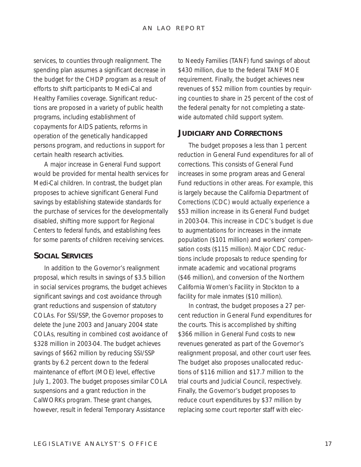services, to counties through realignment. The spending plan assumes a significant decrease in the budget for the CHDP program as a result of efforts to shift participants to Medi-Cal and Healthy Families coverage. Significant reductions are proposed in a variety of public health programs, including establishment of copayments for AIDS patients, reforms in operation of the genetically handicapped persons program, and reductions in support for certain health research activities.

A major increase in General Fund support would be provided for mental health services for Medi-Cal children. In contrast, the budget plan proposes to achieve significant General Fund savings by establishing statewide standards for the purchase of services for the developmentally disabled, shifting more support for Regional Centers to federal funds, and establishing fees for some parents of children receiving services.

### **SOCIAL SERVICES**

In addition to the Governor's realignment proposal, which results in savings of \$3.5 billion in social services programs, the budget achieves significant savings and cost avoidance through grant reductions and suspension of statutory COLAs. For SSI/SSP, the Governor proposes to delete the June 2003 and January 2004 state COLAs, resulting in combined cost avoidance of \$328 million in 2003-04. The budget achieves savings of \$662 million by reducing SSI/SSP grants by 6.2 percent down to the federal maintenance of effort (MOE) level, effective July 1, 2003. The budget proposes similar COLA suspensions and a grant reduction in the CalWORKs program. These grant changes, however, result in federal Temporary Assistance

to Needy Families (TANF) fund savings of about \$430 million, due to the federal TANF MOE requirement. Finally, the budget achieves new revenues of \$52 million from counties by requiring counties to share in 25 percent of the cost of the federal penalty for not completing a statewide automated child support system.

### **JUDICIARY AND CORRECTIONS**

The budget proposes a less than 1 percent reduction in General Fund expenditures for all of corrections. This consists of General Fund increases in some program areas and General Fund reductions in other areas. For example, this is largely because the California Department of Corrections (CDC) would actually experience a \$53 million increase in its General Fund budget in 2003-04. This increase in CDC's budget is due to augmentations for increases in the inmate population (\$101 million) and workers' compensation costs (\$115 million). Major CDC reductions include proposals to reduce spending for inmate academic and vocational programs (\$46 million), and conversion of the Northern California Women's Facility in Stockton to a facility for male inmates (\$10 million).

In contrast, the budget proposes a 27 percent reduction in General Fund expenditures for the courts. This is accomplished by shifting \$366 million in General Fund costs to new revenues generated as part of the Governor's realignment proposal, and other court user fees. The budget also proposes unallocated reductions of \$116 million and \$17.7 million to the trial courts and Judicial Council, respectively. Finally, the Governor's budget proposes to reduce court expenditures by \$37 million by replacing some court reporter staff with elec-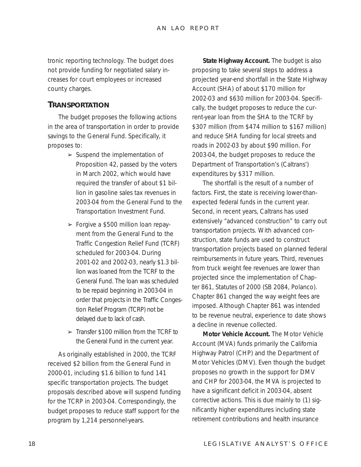tronic reporting technology. The budget does not provide funding for negotiated salary increases for court employees or increased county charges.

### **TRANSPORTATION**

The budget proposes the following actions in the area of transportation in order to provide savings to the General Fund. Specifically, it proposes to:

- $\triangleright$  Suspend the implementation of Proposition 42, passed by the voters in March 2002, which would have required the transfer of about \$1 billion in gasoline sales tax revenues in 2003-04 from the General Fund to the Transportation Investment Fund.
- $\triangleright$  Forgive a \$500 million loan repayment from the General Fund to the Traffic Congestion Relief Fund (TCRF) scheduled for 2003-04. During 2001-02 and 2002-03, nearly \$1.3 billion was loaned from the TCRF to the General Fund. The loan was scheduled to be repaid beginning in 2003-04 in order that projects in the Traffic Congestion Relief Program (TCRP) not be delayed due to lack of cash.
- $\geq$  Transfer \$100 million from the TCRF to the General Fund in the current year.

As originally established in 2000, the TCRF received \$2 billion from the General Fund in 2000-01, including \$1.6 billion to fund 141 specific transportation projects. The budget proposals described above will suspend funding for the TCRP in 2003-04. Correspondingly, the budget proposes to reduce staff support for the program by 1,214 personnel-years.

*State Highway Account.* The budget is also proposing to take several steps to address a projected year-end shortfall in the State Highway Account (SHA) of about \$170 million for 2002-03 and \$630 million for 2003-04. Specifically, the budget proposes to reduce the current-year loan from the SHA to the TCRF by \$307 million (from \$474 million to \$167 million) and reduce SHA funding for local streets and roads in 2002-03 by about \$90 million. For 2003-04, the budget proposes to reduce the Department of Transportation's (Caltrans') expenditures by \$317 million.

The shortfall is the result of a number of factors. First, the state is receiving lower-thanexpected federal funds in the current year. Second, in recent years, Caltrans has used extensively "advanced construction" to carry out transportation projects. With advanced construction, state funds are used to construct transportation projects based on planned federal reimbursements in future years. Third, revenues from truck weight fee revenues are lower than projected since the implementation of Chapter 861, Statutes of 2000 (SB 2084, Polanco). Chapter 861 changed the way weight fees are imposed. Although Chapter 861 was intended to be revenue neutral, experience to date shows a decline in revenue collected.

*Motor Vehicle Account.* The Motor Vehicle Account (MVA) funds primarily the California Highway Patrol (CHP) and the Department of Motor Vehicles (DMV). Even though the budget proposes no growth in the support for DMV and CHP for 2003-04, the MVA is projected to have a significant deficit in 2003-04, absent corrective actions. This is due mainly to (1) significantly higher expenditures including state retirement contributions and health insurance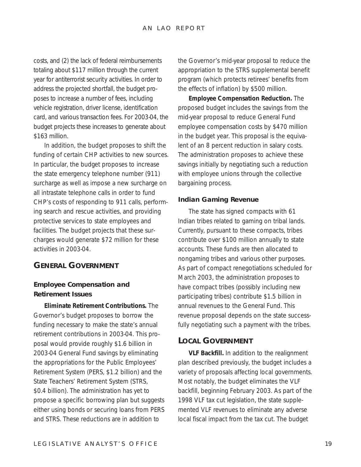costs, and (2) the lack of federal reimbursements totaling about \$117 million through the current year for antiterrorist security activities. In order to address the projected shortfall, the budget proposes to increase a number of fees, including vehicle registration, driver license, identification card, and various transaction fees. For 2003-04, the budget projects these increases to generate about \$163 million.

In addition, the budget proposes to shift the funding of certain CHP activities to new sources. In particular, the budget proposes to increase the state emergency telephone number (911) surcharge as well as impose a new surcharge on all intrastate telephone calls in order to fund CHP's costs of responding to 911 calls, performing search and rescue activities, and providing protective services to state employees and facilities. The budget projects that these surcharges would generate \$72 million for these activities in 2003-04.

### **GENERAL GOVERNMENT**

### **Employee Compensation and Retirement Issues**

*Eliminate Retirement Contributions.* The Governor's budget proposes to borrow the funding necessary to make the state's annual retirement contributions in 2003-04. This proposal would provide roughly \$1.6 billion in 2003-04 General Fund savings by eliminating the appropriations for the Public Employees' Retirement System (PERS, \$1.2 billion) and the State Teachers' Retirement System (STRS, \$0.4 billion). The administration has yet to propose a specific borrowing plan but suggests either using bonds or securing loans from PERS and STRS. These reductions are in addition to

the Governor's mid-year proposal to reduce the appropriation to the STRS supplemental benefit program (which protects retirees' benefits from the effects of inflation) by \$500 million.

*Employee Compensation Reduction.* The proposed budget includes the savings from the mid-year proposal to reduce General Fund employee compensation costs by \$470 million in the budget year. This proposal is the equivalent of an 8 percent reduction in salary costs. The administration proposes to achieve these savings initially by negotiating such a reduction with employee unions through the collective bargaining process.

#### **Indian Gaming Revenue**

The state has signed compacts with 61 Indian tribes related to gaming on tribal lands. Currently, pursuant to these compacts, tribes contribute over \$100 million annually to state accounts. These funds are then allocated to nongaming tribes and various other purposes. As part of compact renegotiations scheduled for March 2003, the administration proposes to have compact tribes (possibly including new participating tribes) contribute \$1.5 billion in annual revenues to the General Fund. This revenue proposal depends on the state successfully negotiating such a payment with the tribes.

### **LOCAL GOVERNMENT**

*VLF Backfill.* In addition to the realignment plan described previously, the budget includes a variety of proposals affecting local governments. Most notably, the budget eliminates the VLF backfill, beginning February 2003. As part of the 1998 VLF tax cut legislation, the state supplemented VLF revenues to eliminate any adverse local fiscal impact from the tax cut. The budget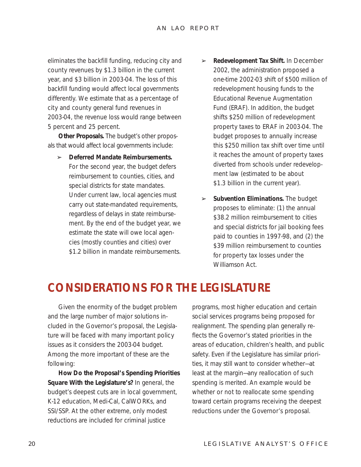eliminates the backfill funding, reducing city and county revenues by \$1.3 billion in the current year, and \$3 billion in 2003-04. The loss of this backfill funding would affect local governments differently. We estimate that as a percentage of city and county general fund revenues in 2003-04, the revenue loss would range between 5 percent and 25 percent.

**Other Proposals.** The budget's other proposals that would affect local governments include:

- ➢ *Deferred Mandate Reimbursements.* For the second year, the budget defers reimbursement to counties, cities, and special districts for state mandates. Under current law, local agencies must carry out state-mandated requirements, regardless of delays in state reimbursement. By the end of the budget year, we estimate the state will owe local agencies (mostly counties and cities) over \$1.2 billion in mandate reimbursements.
- ➢ *Redevelopment Tax Shift.* In December 2002, the administration proposed a one-time 2002-03 shift of \$500 million of redevelopment housing funds to the Educational Revenue Augmentation Fund (ERAF). In addition, the budget shifts \$250 million of redevelopment property taxes to ERAF in 2003-04. The budget proposes to annually increase this \$250 million tax shift over time until it reaches the amount of property taxes diverted from schools under redevelopment law (estimated to be about \$1.3 billion in the current year).
- **Subvention Eliminations.** The budget proposes to eliminate: (1) the annual \$38.2 million reimbursement to cities and special districts for jail booking fees paid to counties in 1997-98, and (2) the \$39 million reimbursement to counties for property tax losses under the Williamson Act.

### **CONSIDERATIONS FOR THE LEGISLATURE**

Given the enormity of the budget problem and the large number of major solutions included in the Governor's proposal, the Legislature will be faced with many important policy issues as it considers the 2003-04 budget. Among the more important of these are the following:

*How Do the Proposal's Spending Priorities Square With the Legislature's?* In general, the budget's deepest cuts are in local government, K-12 education, Medi-Cal, CalWORKs, and SSI/SSP. At the other extreme, only modest reductions are included for criminal justice

programs, most higher education and certain social services programs being proposed for realignment. The spending plan generally reflects the Governor's stated priorities in the areas of education, children's health, and public safety. Even if the Legislature has similar priorities, it may still want to consider whether—at least at the margin—any reallocation of such spending is merited. An example would be whether or not to reallocate some spending toward certain programs receiving the deepest reductions under the Governor's proposal.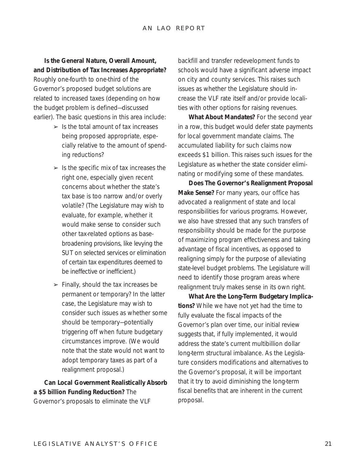### *Is the General Nature, Overall Amount, and Distribution of Tax Increases Appropriate?*

Roughly one-fourth to one-third of the Governor's proposed budget solutions are related to increased taxes (depending on how the budget problem is defined—discussed earlier). The basic questions in this area include:

- ➢ Is the *total amount* of tax increases being proposed appropriate, especially relative to the amount of spending reductions?
- $\triangleright$  Is the *specific mix* of tax increases the right one, especially given recent concerns about whether the state's tax base is too narrow and/or overly volatile? (The Legislature may wish to evaluate, for example, whether it would make sense to consider such other tax-related options as basebroadening provisions, like levying the SUT on selected services or elimination of certain tax expenditures deemed to be ineffective or inefficient.)
- $\triangleright$  Finally, should the tax increases be *permanent or temporary*? In the latter case, the Legislature may wish to consider such issues as whether some should be temporary—potentially triggering off when future budgetary circumstances improve. (We would note that the state would not want to adopt temporary taxes as part of a realignment proposal.)

*Can Local Government Realistically Absorb a \$5 billion Funding Reduction?* The Governor's proposals to eliminate the VLF

backfill and transfer redevelopment funds to schools would have a significant adverse impact on city and county services. This raises such issues as whether the Legislature should increase the VLF rate itself and/or provide localities with other options for raising revenues.

*What About Mandates?* For the second year in a row, this budget would defer state payments for local government mandate claims. The accumulated liability for such claims now exceeds \$1 billion. This raises such issues for the Legislature as whether the state consider eliminating or modifying some of these mandates.

*Does The Governor's Realignment Proposal Make Sense?* For many years, our office has advocated a realignment of state and local responsibilities for various programs. However, we also have stressed that any such transfers of responsibility should be made for the purpose of maximizing program effectiveness and taking advantage of fiscal incentives, as opposed to realigning simply for the purpose of alleviating state-level budget problems. The Legislature will need to identify those program areas where realignment truly makes sense in its own right.

*What Are the Long-Term Budgetary Implications?* While we have not yet had the time to fully evaluate the fiscal impacts of the Governor's plan over time, our initial review suggests that, if fully implemented, it would address the state's current multibillion dollar long-term structural imbalance. As the Legislature considers modifications and alternatives to the Governor's proposal, it will be important that it try to avoid diminishing the long-term fiscal benefits that are inherent in the current proposal.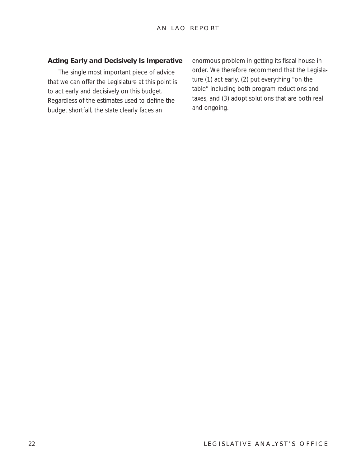**Acting Early and Decisively Is Imperative**

The single most important piece of advice that we can offer the Legislature at this point is to act early and decisively on this budget. Regardless of the estimates used to define the budget shortfall, the state clearly faces an

enormous problem in getting its fiscal house in order. We therefore recommend that the Legislature (1) act early, (2) put everything "on the table" including both program reductions and taxes, and (3) adopt solutions that are both real and ongoing.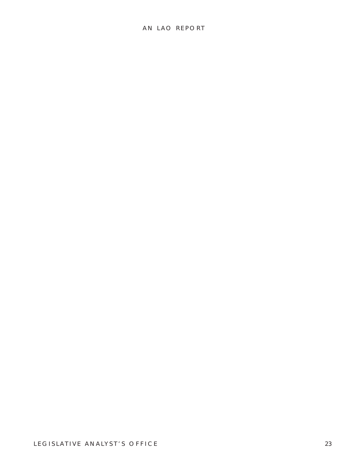### AN LAO REPORT